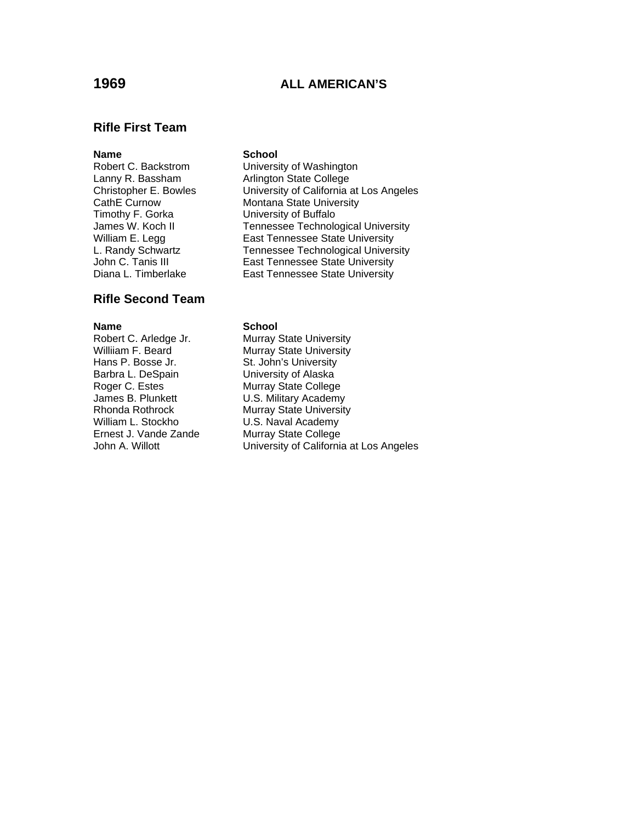# **1969 ALL AMERICAN'S**

## **Rifle First Team**

# Timothy F. Gorka **University of Buffalo**

# **Rifle Second Team**

Hans P. Bosse Jr. St. John's University Barbra L. DeSpain University of Alaska Roger C. Estes Murray State College James B. Plunkett U.S. Military Academy William L. Stockho **U.S. Naval Academy**<br>Ernest J. Vande Zande **Murray State College** 

## **Name** School

Robert C. Backstrom University of Washington Lanny R. Bassham and Arlington State College<br>Christopher E. Bowles Christopher State Christopher E. University of California at Los Angeles CathE Curnow Montana State University James W. Koch II Tennessee Technological University William E. Legg East Tennessee State University L. Randy Schwartz Tennessee Technological University<br>John C. Tanis III East Tennessee State University East Tennessee State University Diana L. Timberlake **East Tennessee State University** 

### **Name** School

Robert C. Arledge Jr. Murray State University<br>
Williiam F. Beard Murray State University Murray State University Rhonda Rothrock Murray State University<br>
William L. Stockho MU.S. Naval Academy Murray State College John A. Willott **University of California at Los Angeles**